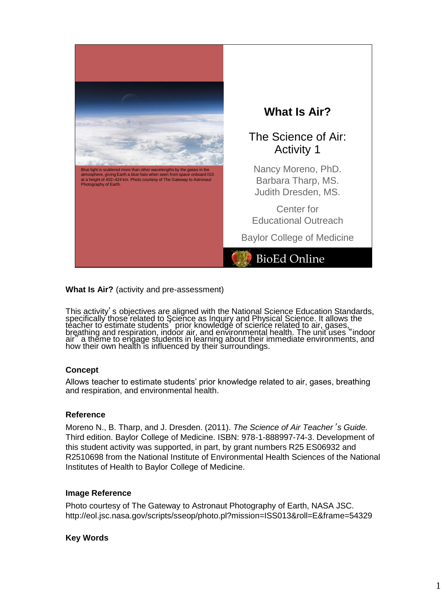

**What Is Air?** (activity and pre-assessment)

This activity's objectives are aligned with the National Science Education Standards, specifically those related to Science as Inquiry and Physical Science. It allows the<br>teacher to estimate students , prior knowledge of science related to air, gases, breathing and respiration, indoor air, and environmental health. The unit uses "indoor air" a theme to engage students in learning about their immediate environments, and how their own health is influenced by their surroundings.

#### **Concept**

Allows teacher to estimate students' prior knowledge related to air, gases, breathing and respiration, and environmental health.

#### **Reference**

Moreno N., B. Tharp, and J. Dresden. (2011). *The Science of Air Teacher*'*s Guide.* Third edition. Baylor College of Medicine. ISBN: 978-1-888997-74-3. Development of this student activity was supported, in part, by grant numbers R25 ES06932 and R2510698 from the National Institute of Environmental Health Sciences of the National Institutes of Health to Baylor College of Medicine.

#### **Image Reference**

Photo courtesy of The Gateway to Astronaut Photography of Earth, NASA JSC. http://eol.jsc.nasa.gov/scripts/sseop/photo.pl?mission=ISS013&roll=E&frame=54329

#### **Key Words**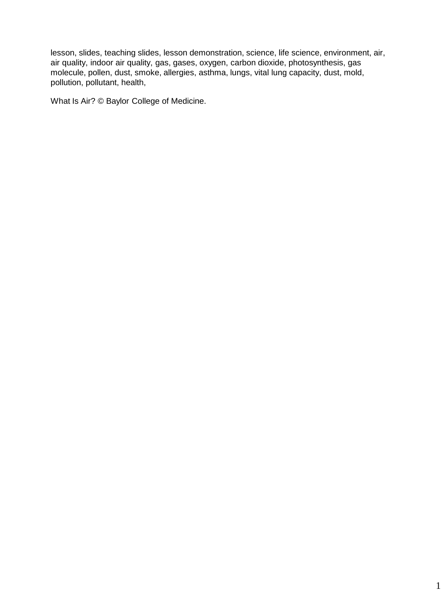lesson, slides, teaching slides, lesson demonstration, science, life science, environment, air, air quality, indoor air quality, gas, gases, oxygen, carbon dioxide, photosynthesis, gas molecule, pollen, dust, smoke, allergies, asthma, lungs, vital lung capacity, dust, mold, pollution, pollutant, health,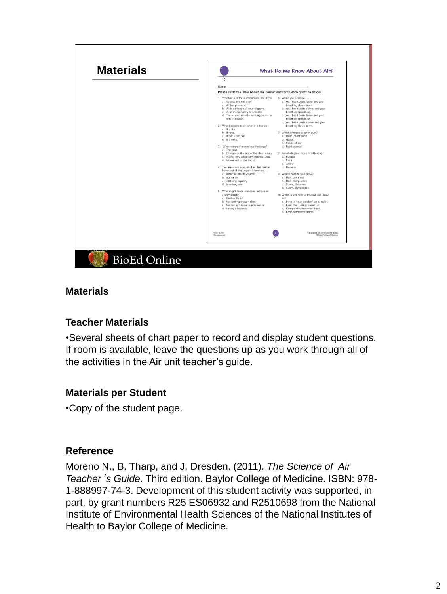

### **Materials**

#### **Teacher Materials**

•Several sheets of chart paper to record and display student questions. If room is available, leave the questions up as you work through all of the activities in the Air unit teacher's guide.

# **Materials per Student**

•Copy of the student page.

#### **Reference**

Moreno N., B. Tharp, and J. Dresden. (2011). *The Science of Air Teacher*'*s Guide.* Third edition. Baylor College of Medicine. ISBN: 978- 1-888997-74-3. Development of this student activity was supported, in part, by grant numbers R25 ES06932 and R2510698 from the National Institute of Environmental Health Sciences of the National Institutes of Health to Baylor College of Medicine.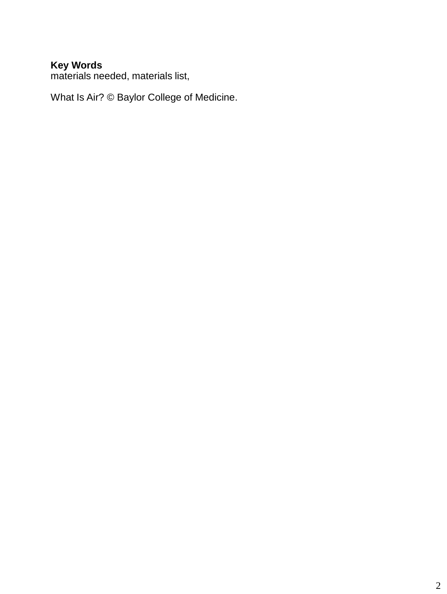### **Key Words**

materials needed, materials list,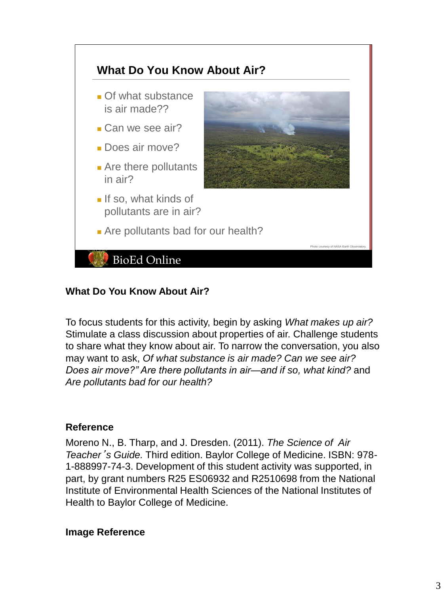

### **What Do You Know About Air?**

To focus students for this activity, begin by asking *What makes up air?*  Stimulate a class discussion about properties of air. Challenge students to share what they know about air. To narrow the conversation, you also may want to ask, *Of what substance is air made? Can we see air? Does air move?" Are there pollutants in air—and if so, what kind?* and *Are pollutants bad for our health?*

#### **Reference**

Moreno N., B. Tharp, and J. Dresden. (2011). *The Science of Air Teacher*'*s Guide.* Third edition. Baylor College of Medicine. ISBN: 978- 1-888997-74-3. Development of this student activity was supported, in part, by grant numbers R25 ES06932 and R2510698 from the National Institute of Environmental Health Sciences of the National Institutes of Health to Baylor College of Medicine.

#### **Image Reference**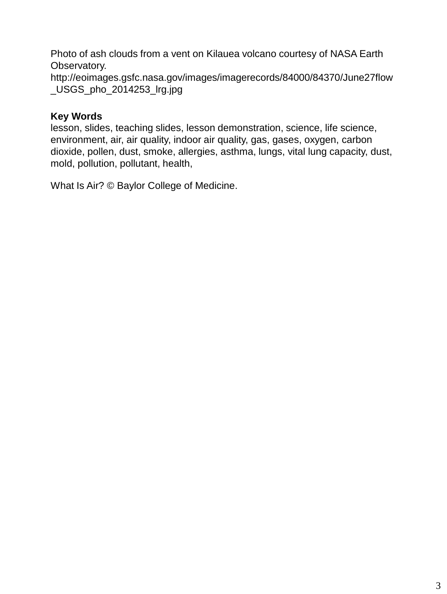Photo of ash clouds from a vent on Kilauea volcano courtesy of NASA Earth Observatory. http://eoimages.gsfc.nasa.gov/images/imagerecords/84000/84370/June27flow \_USGS\_pho\_2014253\_lrg.jpg

# **Key Words**

lesson, slides, teaching slides, lesson demonstration, science, life science, environment, air, air quality, indoor air quality, gas, gases, oxygen, carbon dioxide, pollen, dust, smoke, allergies, asthma, lungs, vital lung capacity, dust, mold, pollution, pollutant, health,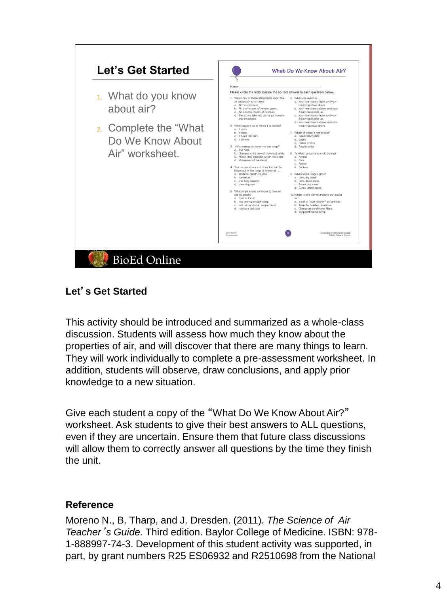

# **Let**'**s Get Started**

This activity should be introduced and summarized as a whole-class discussion. Students will assess how much they know about the properties of air, and will discover that there are many things to learn. They will work individually to complete a pre-assessment worksheet. In addition, students will observe, draw conclusions, and apply prior knowledge to a new situation.

Give each student a copy of the "What Do We Know About Air?" worksheet. Ask students to give their best answers to ALL questions, even if they are uncertain. Ensure them that future class discussions will allow them to correctly answer all questions by the time they finish the unit.

# **Reference**

Moreno N., B. Tharp, and J. Dresden. (2011). *The Science of Air Teacher*'*s Guide.* Third edition. Baylor College of Medicine. ISBN: 978- 1-888997-74-3. Development of this student activity was supported, in part, by grant numbers R25 ES06932 and R2510698 from the National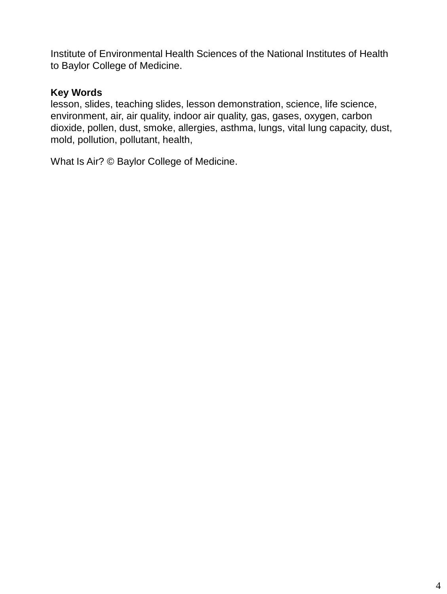Institute of Environmental Health Sciences of the National Institutes of Health to Baylor College of Medicine.

### **Key Words**

lesson, slides, teaching slides, lesson demonstration, science, life science, environment, air, air quality, indoor air quality, gas, gases, oxygen, carbon dioxide, pollen, dust, smoke, allergies, asthma, lungs, vital lung capacity, dust, mold, pollution, pollutant, health,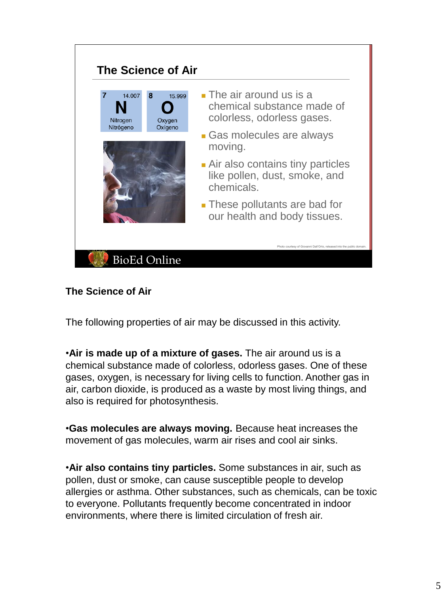#### **The Science of Air**  ■ The air around us is a 14.007  $\mathbf{8}$ 15.999 chemical substance made of  $\bullet$ colorless, odorless gases. Nitrogen Oxygen Oxígeno Nitrógeno ■ Gas molecules are always moving. ■ Air also contains tiny particles like pollen, dust, smoke, and chemicals. ■ These pollutants are bad for our health and body tissues. Photo courtesy of Giovanni Dall'Orto, released into the public domain. **BioEd Online**

# **The Science of Air**

The following properties of air may be discussed in this activity.

•**Air is made up of a mixture of gases.** The air around us is a chemical substance made of colorless, odorless gases. One of these gases, oxygen, is necessary for living cells to function. Another gas in air, carbon dioxide, is produced as a waste by most living things, and also is required for photosynthesis.

•**Gas molecules are always moving.** Because heat increases the movement of gas molecules, warm air rises and cool air sinks.

•**Air also contains tiny particles.** Some substances in air, such as pollen, dust or smoke, can cause susceptible people to develop allergies or asthma. Other substances, such as chemicals, can be toxic to everyone. Pollutants frequently become concentrated in indoor environments, where there is limited circulation of fresh air.